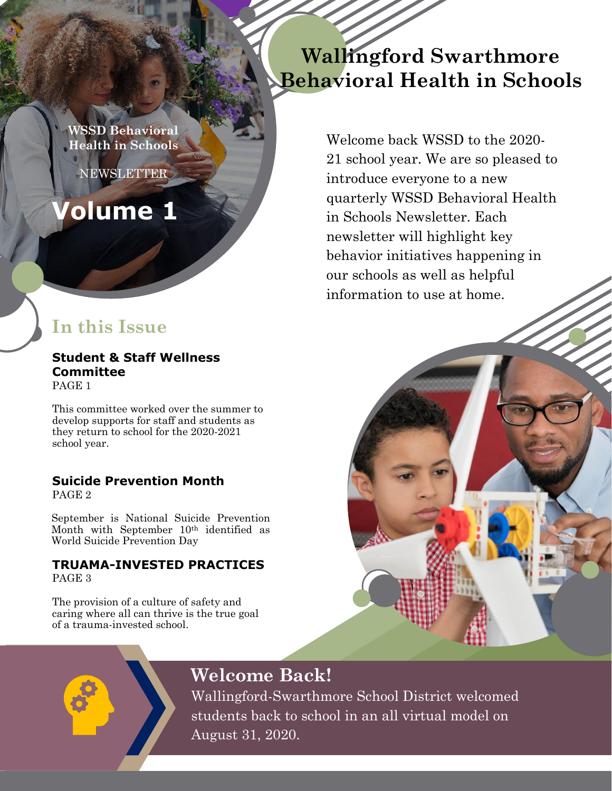**PARENT TEACHERS AND THE SCHOOLS WSSD Behavioral** 

**ASSOCIATED** 

**Volume 1**

## **In this Issue**

**Student & Staff Wellness Committee** PAGE 1

This committee worked over the summer to develop supports for staff and students as they return to school for the 2020-2021 school year.

### **Suicide Prevention Month**

PAGE 2

September is National Suicide Prevention Month with September  $10<sup>th</sup>$  identified as World Suicide Prevention Day

### **TRUAMA-INVESTED PRACTICES** PAGE 3

The provision of a culture of safety and caring where all can thrive is the true goal of a trauma-invested school.

# **Wallingford Swarthmore Behavioral Health in Schools**

Welcome back WSSD to the 2020- 21 school year. We are so pleased to introduce everyone to a new quarterly WSSD Behavioral Health in Schools Newsletter. Each newsletter will highlight key behavior initiatives happening in our schools as well as helpful information to use at home.

# **Welcome Back!**

Wallingford-Swarthmore School District welcomed students back to school in an all virtual model on August 31, 2020.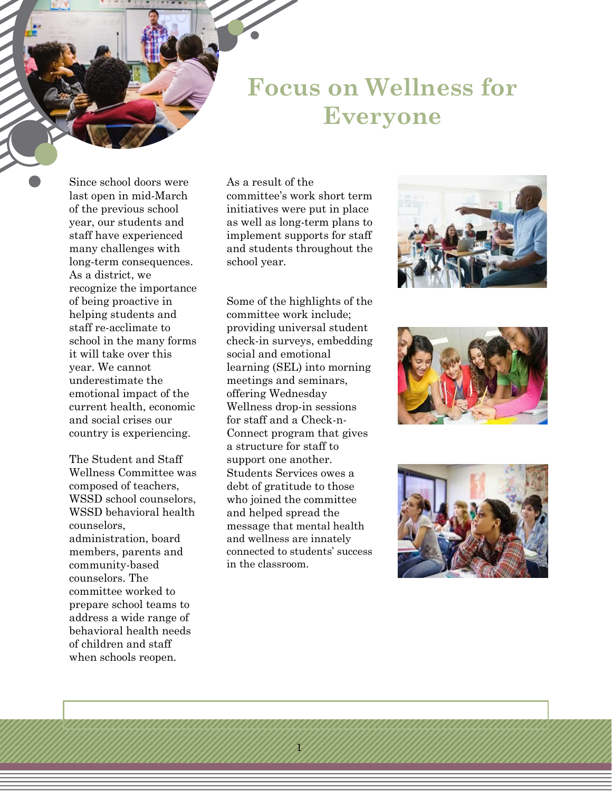**Focus on Wellness for Everyone**

Since school doors were last open in mid-March of the previous school year, our students and staff have experienced many challenges with long-term consequences. As a district, we recognize the importance of being proactive in helping students and staff re-acclimate to school in the many forms it will take over this year. We cannot underestimate the emotional impact of the current health, economic and social crises our country is experiencing.

The Student and Staff Wellness Committee was composed of teachers, WSSD school counselors, WSSD behavioral health counselors, administration, board members, parents and community-based counselors. The committee worked to prepare school teams to address a wide range of behavioral health needs of children and staff when schools reopen.

As a result of the committee's work short term initiatives were put in place as well as long-term plans to implement supports for staff and students throughout the school year.

Some of the highlights of the committee work include; providing universal student check-in surveys, embedding social and emotional learning (SEL) into morning meetings and seminars, offering Wednesday Wellness drop-in sessions for staff and a Check-n-Connect program that gives a structure for staff to support one another. Students Services owes a debt of gratitude to those who joined the committee and helped spread the message that mental health and wellness are innately connected to students' success in the classroom.

1





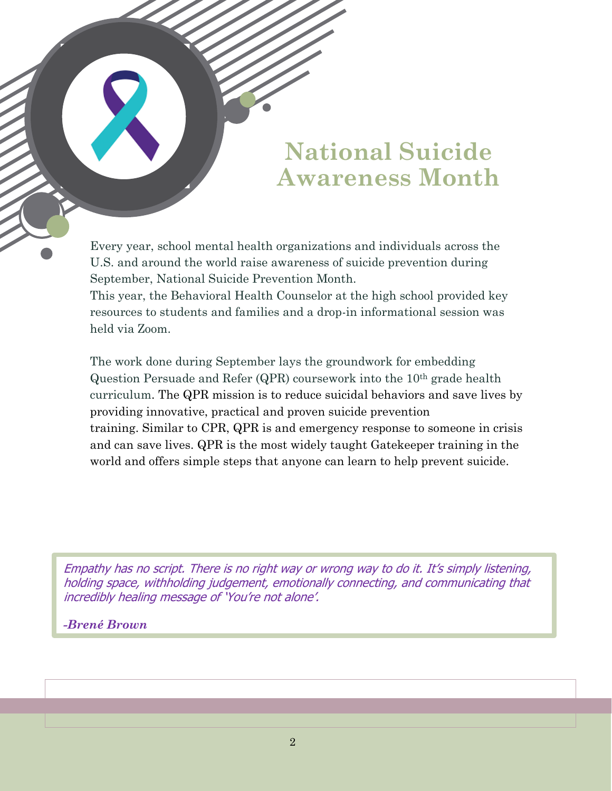# **National Suicide Awareness Month**

Every year, school mental health organizations and individuals across the U.S. and around the world raise awareness of suicide prevention during September, National Suicide Prevention Month.

This year, the Behavioral Health Counselor at the high school provided key resources to students and families and a drop-in informational session was held via Zoom.

The work done during September lays the groundwork for embedding Question Persuade and Refer (QPR) coursework into the 10th grade health curriculum. The QPR mission is to reduce suicidal behaviors and save lives by providing innovative, practical and proven suicide prevention training. Similar to CPR, QPR is and emergency response to someone in crisis and can save lives. QPR is the most widely taught Gatekeeper training in the world and offers simple steps that anyone can learn to help prevent suicide.

Empathy has no script. There is no right way or wrong way to do it. It's simply listening, holding space, withholding judgement, emotionally connecting, and communicating that incredibly healing message of 'You're not alone'.

*-Brené Brown*